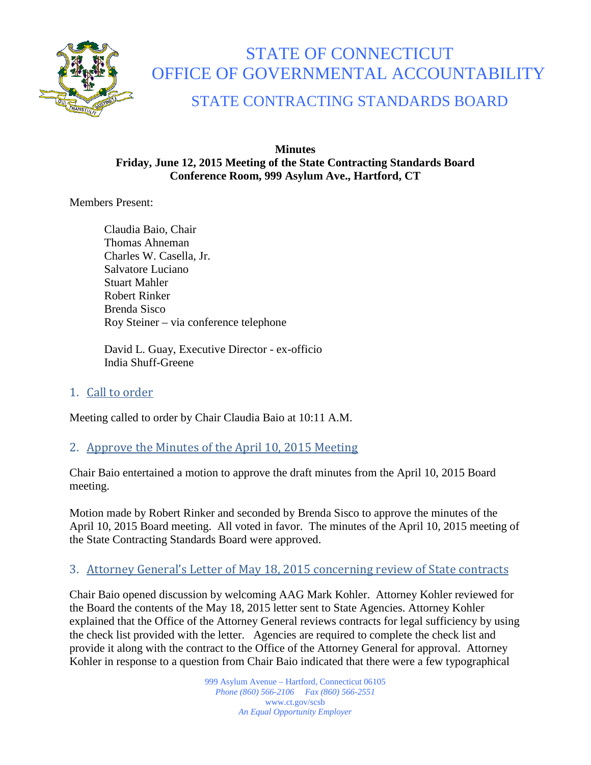

# STATE OF CONNECTICUT OFFICE OF GOVERNMENTAL ACCOUNTABILITY

# STATE CONTRACTING STANDARDS BOARD

#### **Minutes Friday, June 12, 2015 Meeting of the State Contracting Standards Board Conference Room, 999 Asylum Ave., Hartford, CT**

Members Present:

Claudia Baio, Chair Thomas Ahneman Charles W. Casella, Jr. Salvatore Luciano Stuart Mahler Robert Rinker Brenda Sisco Roy Steiner – via conference telephone

David L. Guay, Executive Director - ex-officio India Shuff-Greene

# 1. Call to order

Meeting called to order by Chair Claudia Baio at 10:11 A.M.

# 2. Approve the Minutes of the April 10, 2015 Meeting

Chair Baio entertained a motion to approve the draft minutes from the April 10, 2015 Board meeting.

Motion made by Robert Rinker and seconded by Brenda Sisco to approve the minutes of the April 10, 2015 Board meeting. All voted in favor. The minutes of the April 10, 2015 meeting of the State Contracting Standards Board were approved.

# 3. Attorney General's Letter of May 18, 2015 concerning review of State contracts

Chair Baio opened discussion by welcoming AAG Mark Kohler. Attorney Kohler reviewed for the Board the contents of the May 18, 2015 letter sent to State Agencies. Attorney Kohler explained that the Office of the Attorney General reviews contracts for legal sufficiency by using the check list provided with the letter. Agencies are required to complete the check list and provide it along with the contract to the Office of the Attorney General for approval. Attorney Kohler in response to a question from Chair Baio indicated that there were a few typographical

> 999 Asylum Avenue – Hartford, Connecticut 06105 *Phone (860) 566-2106 Fax (860) 566-2551* www.ct.gov/scsb *An Equal Opportunity Employer*